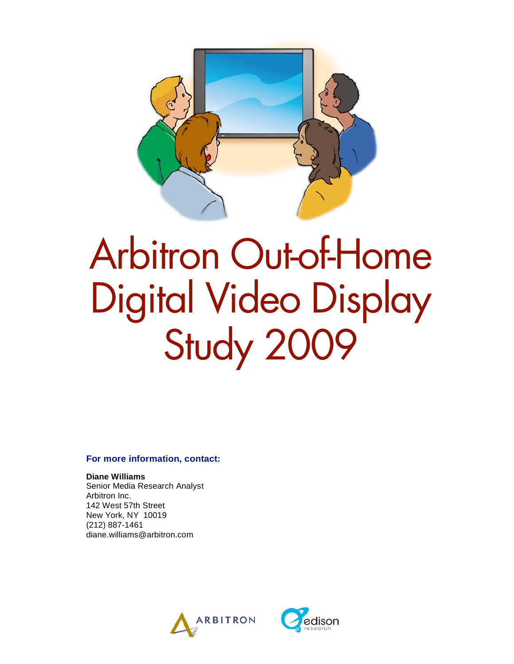

# Arbitron Out-of-Home Digital Video Display Study 2009

#### **For more information, contact:**

**Diane Williams**  Senior Media Research Analyst Arbitron Inc. 142 West 57th Street New York, NY 10019 (212) 887-1461 diane.williams@arbitron.com



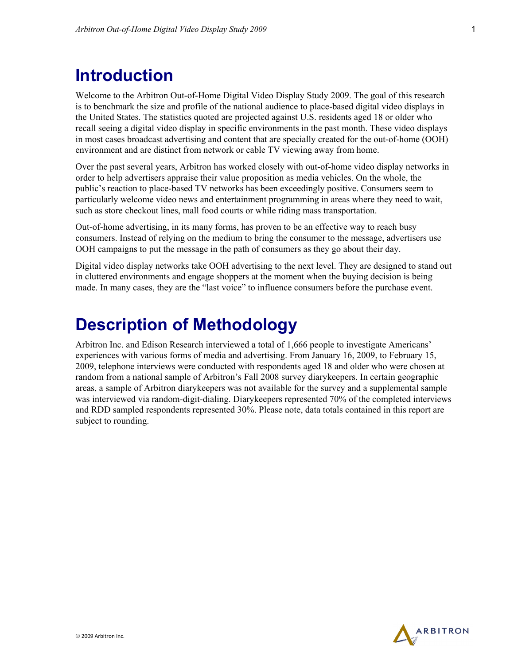## **Introduction**

Welcome to the Arbitron Out-of-Home Digital Video Display Study 2009. The goal of this research is to benchmark the size and profile of the national audience to place-based digital video displays in the United States. The statistics quoted are projected against U.S. residents aged 18 or older who recall seeing a digital video display in specific environments in the past month. These video displays in most cases broadcast advertising and content that are specially created for the out-of-home (OOH) environment and are distinct from network or cable TV viewing away from home.

Over the past several years, Arbitron has worked closely with out-of-home video display networks in order to help advertisers appraise their value proposition as media vehicles. On the whole, the public's reaction to place-based TV networks has been exceedingly positive. Consumers seem to particularly welcome video news and entertainment programming in areas where they need to wait, such as store checkout lines, mall food courts or while riding mass transportation.

Out-of-home advertising, in its many forms, has proven to be an effective way to reach busy consumers. Instead of relying on the medium to bring the consumer to the message, advertisers use OOH campaigns to put the message in the path of consumers as they go about their day.

Digital video display networks take OOH advertising to the next level. They are designed to stand out in cluttered environments and engage shoppers at the moment when the buying decision is being made. In many cases, they are the "last voice" to influence consumers before the purchase event.

## **Description of Methodology**

Arbitron Inc. and Edison Research interviewed a total of 1,666 people to investigate Americans' experiences with various forms of media and advertising. From January 16, 2009, to February 15, 2009, telephone interviews were conducted with respondents aged 18 and older who were chosen at random from a national sample of Arbitron's Fall 2008 survey diarykeepers. In certain geographic areas, a sample of Arbitron diarykeepers was not available for the survey and a supplemental sample was interviewed via random-digit-dialing. Diarykeepers represented 70% of the completed interviews and RDD sampled respondents represented 30%. Please note, data totals contained in this report are subject to rounding.

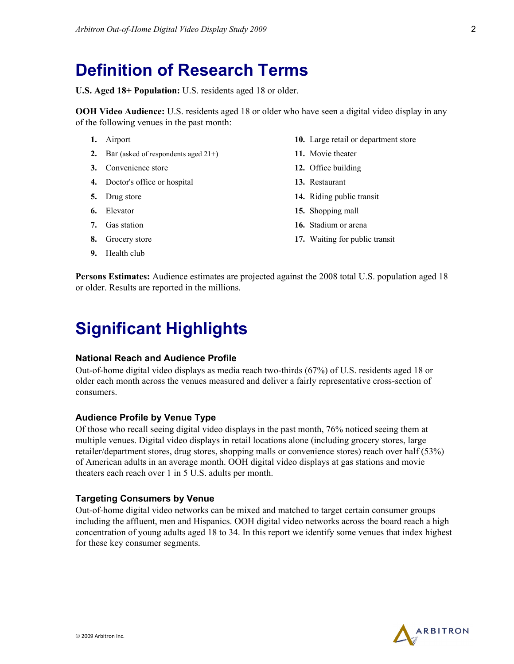## **Definition of Research Terms**

**U.S. Aged 18+ Population:** U.S. residents aged 18 or older.

**OOH Video Audience:** U.S. residents aged 18 or older who have seen a digital video display in any of the following venues in the past month:

- **1.** Airport
- **2.** Bar (asked of respondents aged 21+)
- **3.** Convenience store
- **4.** Doctor's office or hospital
- **5.** Drug store
- **6.** Elevator
- **7.** Gas station
- **8.** Grocery store
- **9.** Health club
- **10.** Large retail or department store
- **11.** Movie theater
- **12.** Office building
- **13.** Restaurant
- **14.** Riding public transit
- **15.** Shopping mall
- **16.** Stadium or arena
- **17.** Waiting for public transit

**Persons Estimates:** Audience estimates are projected against the 2008 total U.S. population aged 18 or older. Results are reported in the millions.

## **Significant Highlights**

#### **National Reach and Audience Profile**

Out-of-home digital video displays as media reach two-thirds (67%) of U.S. residents aged 18 or older each month across the venues measured and deliver a fairly representative cross-section of consumers.

#### **Audience Profile by Venue Type**

Of those who recall seeing digital video displays in the past month, 76% noticed seeing them at multiple venues. Digital video displays in retail locations alone (including grocery stores, large retailer/department stores, drug stores, shopping malls or convenience stores) reach over half (53%) of American adults in an average month. OOH digital video displays at gas stations and movie theaters each reach over 1 in 5 U.S. adults per month.

#### **Targeting Consumers by Venue**

Out-of-home digital video networks can be mixed and matched to target certain consumer groups including the affluent, men and Hispanics. OOH digital video networks across the board reach a high concentration of young adults aged 18 to 34. In this report we identify some venues that index highest for these key consumer segments.

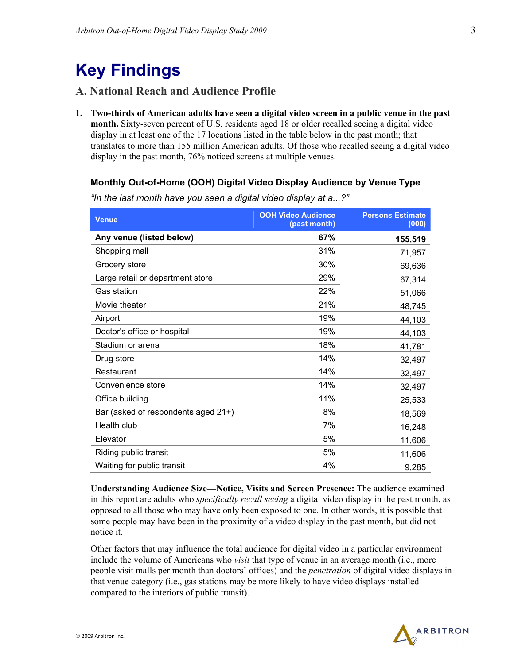# **Key Findings**

#### **A. National Reach and Audience Profile**

**1. Two-thirds of American adults have seen a digital video screen in a public venue in the past month.** Sixty-seven percent of U.S. residents aged 18 or older recalled seeing a digital video display in at least one of the 17 locations listed in the table below in the past month; that translates to more than 155 million American adults. Of those who recalled seeing a digital video display in the past month, 76% noticed screens at multiple venues.

#### **Monthly Out-of-Home (OOH) Digital Video Display Audience by Venue Type**

| <b>Venue</b>                        | <b>OOH Video Audience</b><br>(past month) | <b>Persons Estimate</b><br>(000) |
|-------------------------------------|-------------------------------------------|----------------------------------|
| Any venue (listed below)            | 67%                                       | 155,519                          |
| Shopping mall                       | 31%                                       | 71,957                           |
| Grocery store                       | 30%                                       | 69,636                           |
| Large retail or department store    | 29%                                       | 67,314                           |
| <b>Gas station</b>                  | 22%                                       | 51,066                           |
| Movie theater                       | 21%                                       | 48,745                           |
| Airport                             | 19%                                       | 44,103                           |
| Doctor's office or hospital         | 19%                                       | 44,103                           |
| Stadium or arena                    | 18%                                       | 41,781                           |
| Drug store                          | 14%                                       | 32,497                           |
| Restaurant                          | 14%                                       | 32,497                           |
| Convenience store                   | 14%                                       | 32,497                           |
| Office building                     | 11%                                       | 25,533                           |
| Bar (asked of respondents aged 21+) | 8%                                        | 18,569                           |
| Health club                         | 7%                                        | 16,248                           |
| Elevator                            | 5%                                        | 11,606                           |
| Riding public transit               | 5%                                        | 11,606                           |
| Waiting for public transit          | 4%                                        | 9,285                            |

*"In the last month have you seen a digital video display at a...?"*

**Understanding Audience Size—Notice, Visits and Screen Presence:** The audience examined in this report are adults who *specifically recall seeing* a digital video display in the past month, as opposed to all those who may have only been exposed to one. In other words, it is possible that some people may have been in the proximity of a video display in the past month, but did not notice it.

Other factors that may influence the total audience for digital video in a particular environment include the volume of Americans who *visit* that type of venue in an average month (i.e., more people visit malls per month than doctors' offices) and the *penetration* of digital video displays in that venue category (i.e., gas stations may be more likely to have video displays installed compared to the interiors of public transit).

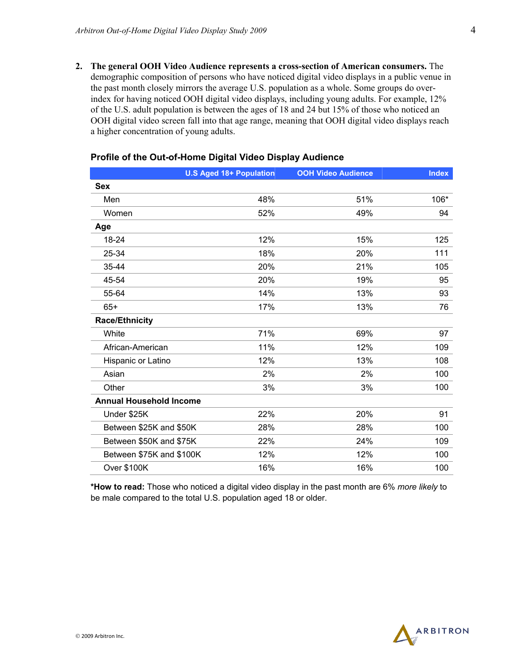**2. The general OOH Video Audience represents a cross-section of American consumers.** The demographic composition of persons who have noticed digital video displays in a public venue in the past month closely mirrors the average U.S. population as a whole. Some groups do overindex for having noticed OOH digital video displays, including young adults. For example, 12% of the U.S. adult population is between the ages of 18 and 24 but 15% of those who noticed an OOH digital video screen fall into that age range, meaning that OOH digital video displays reach a higher concentration of young adults.

|                                | <b>U.S Aged 18+ Population</b> | <b>OOH Video Audience</b> | <b>Index</b> |
|--------------------------------|--------------------------------|---------------------------|--------------|
| <b>Sex</b>                     |                                |                           |              |
| Men                            | 48%                            | 51%                       | 106*         |
| Women                          | 52%                            | 49%                       | 94           |
| Age                            |                                |                           |              |
| 18-24                          | 12%                            | 15%                       | 125          |
| 25-34                          | 18%                            | 20%                       | 111          |
| 35-44                          | 20%                            | 21%                       | 105          |
| 45-54                          | 20%                            | 19%                       | 95           |
| 55-64                          | 14%                            | 13%                       | 93           |
| $65+$                          | 17%                            | 13%                       | 76           |
| <b>Race/Ethnicity</b>          |                                |                           |              |
| White                          | 71%                            | 69%                       | 97           |
| African-American               | 11%                            | 12%                       | 109          |
| Hispanic or Latino             | 12%                            | 13%                       | 108          |
| Asian                          | 2%                             | 2%                        | 100          |
| Other                          | 3%                             | 3%                        | 100          |
| <b>Annual Household Income</b> |                                |                           |              |
| Under \$25K                    | 22%                            | 20%                       | 91           |
| Between \$25K and \$50K        | 28%                            | 28%                       | 100          |
| Between \$50K and \$75K        | 22%                            | 24%                       | 109          |
| Between \$75K and \$100K       | 12%                            | 12%                       | 100          |
| <b>Over \$100K</b>             | 16%                            | 16%                       | 100          |

#### **Profile of the Out-of-Home Digital Video Display Audience**

**\*How to read:** Those who noticed a digital video display in the past month are 6% *more likely* to be male compared to the total U.S. population aged 18 or older.

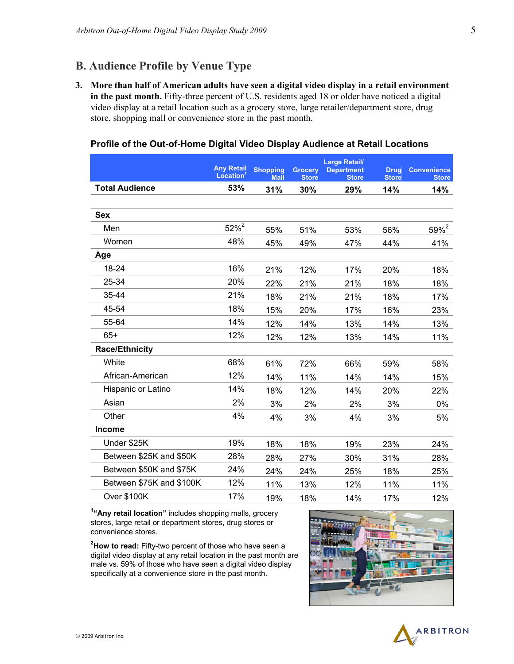### **B. Audience Profile by Venue Type**

**3. More than half of American adults have seen a digital video display in a retail environment in the past month.** Fifty-three percent of U.S. residents aged 18 or older have noticed a digital video display at a retail location such as a grocery store, large retailer/department store, drug store, shopping mall or convenience store in the past month.

#### **Profile of the Out-of-Home Digital Video Display Audience at Retail Locations**

|                          | <b>Any Retail</b><br>Location | <b>Shopping</b><br><b>Mall</b> | <b>Grocery</b><br><b>Store</b> | <b>Large Retail/</b><br><b>Department</b><br><b>Store</b> | <b>Drug</b><br><b>Store</b> | <b>Convenience</b><br><b>Store</b> |
|--------------------------|-------------------------------|--------------------------------|--------------------------------|-----------------------------------------------------------|-----------------------------|------------------------------------|
| <b>Total Audience</b>    | 53%                           | 31%                            | 30%                            | 29%                                                       | 14%                         | 14%                                |
|                          |                               |                                |                                |                                                           |                             |                                    |
| <b>Sex</b>               |                               |                                |                                |                                                           |                             |                                    |
| Men                      | $52%^{2}$                     | 55%                            | 51%                            | 53%                                                       | 56%                         | $59%^{2}$                          |
| Women                    | 48%                           | 45%                            | 49%                            | 47%                                                       | 44%                         | 41%                                |
| Age                      |                               |                                |                                |                                                           |                             |                                    |
| 18-24                    | 16%                           | 21%                            | 12%                            | 17%                                                       | 20%                         | 18%                                |
| 25-34                    | 20%                           | 22%                            | 21%                            | 21%                                                       | 18%                         | 18%                                |
| $35 - 44$                | 21%                           | 18%                            | 21%                            | 21%                                                       | 18%                         | 17%                                |
| 45-54                    | 18%                           | 15%                            | 20%                            | 17%                                                       | 16%                         | 23%                                |
| 55-64                    | 14%                           | 12%                            | 14%                            | 13%                                                       | 14%                         | 13%                                |
| $65+$                    | 12%                           | 12%                            | 12%                            | 13%                                                       | 14%                         | 11%                                |
| <b>Race/Ethnicity</b>    |                               |                                |                                |                                                           |                             |                                    |
| White                    | 68%                           | 61%                            | 72%                            | 66%                                                       | 59%                         | 58%                                |
| African-American         | 12%                           | 14%                            | 11%                            | 14%                                                       | 14%                         | 15%                                |
| Hispanic or Latino       | 14%                           | 18%                            | 12%                            | 14%                                                       | 20%                         | 22%                                |
| Asian                    | 2%                            | 3%                             | 2%                             | 2%                                                        | 3%                          | 0%                                 |
| Other                    | 4%                            | 4%                             | 3%                             | 4%                                                        | 3%                          | 5%                                 |
| <b>Income</b>            |                               |                                |                                |                                                           |                             |                                    |
| Under \$25K              | 19%                           | 18%                            | 18%                            | 19%                                                       | 23%                         | 24%                                |
| Between \$25K and \$50K  | 28%                           | 28%                            | 27%                            | 30%                                                       | 31%                         | 28%                                |
| Between \$50K and \$75K  | 24%                           | 24%                            | 24%                            | 25%                                                       | 18%                         | 25%                                |
| Between \$75K and \$100K | 12%                           | 11%                            | 13%                            | 12%                                                       | 11%                         | 11%                                |
| <b>Over \$100K</b>       | 17%                           | 19%                            | 18%                            | 14%                                                       | 17%                         | 12%                                |

**1 "Any retail location"** includes shopping malls, grocery stores, large retail or department stores, drug stores or convenience stores.

**2 How to read:** Fifty-two percent of those who have seen a digital video display at any retail location in the past month are male vs. 59% of those who have seen a digital video display specifically at a convenience store in the past month.



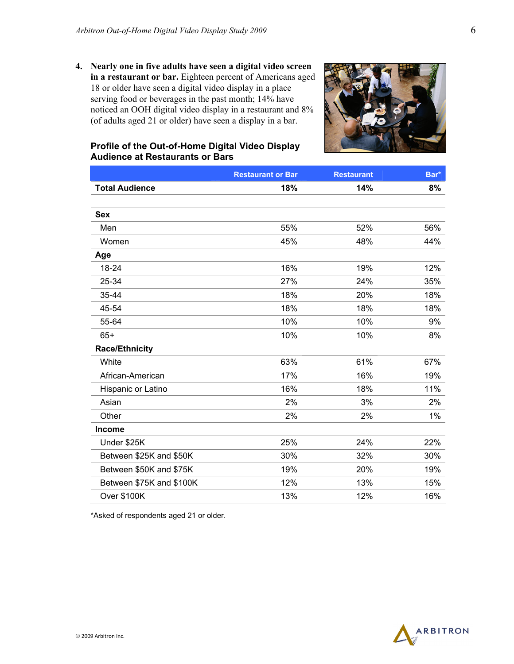**4. Nearly one in five adults have seen a digital video screen in a restaurant or bar.** Eighteen percent of Americans aged 18 or older have seen a digital video display in a place serving food or beverages in the past month; 14% have noticed an OOH digital video display in a restaurant and 8% (of adults aged 21 or older) have seen a display in a bar.



#### **Profile of the Out-of-Home Digital Video Display Audience at Restaurants or Bars**

|                          | <b>Restaurant or Bar</b> | <b>Restaurant</b> | Bar* |
|--------------------------|--------------------------|-------------------|------|
| <b>Total Audience</b>    | 18%                      | 14%               | 8%   |
|                          |                          |                   |      |
| <b>Sex</b>               |                          |                   |      |
| Men                      | 55%                      | 52%               | 56%  |
| Women                    | 45%                      | 48%               | 44%  |
| Age                      |                          |                   |      |
| 18-24                    | 16%                      | 19%               | 12%  |
| 25-34                    | 27%                      | 24%               | 35%  |
| 35-44                    | 18%                      | 20%               | 18%  |
| 45-54                    | 18%                      | 18%               | 18%  |
| 55-64                    | 10%                      | 10%               | 9%   |
| $65+$                    | 10%                      | 10%               | 8%   |
| <b>Race/Ethnicity</b>    |                          |                   |      |
| White                    | 63%                      | 61%               | 67%  |
| African-American         | 17%                      | 16%               | 19%  |
| Hispanic or Latino       | 16%                      | 18%               | 11%  |
| Asian                    | 2%                       | 3%                | 2%   |
| Other                    | 2%                       | 2%                | 1%   |
| <b>Income</b>            |                          |                   |      |
| Under \$25K              | 25%                      | 24%               | 22%  |
| Between \$25K and \$50K  | 30%                      | 32%               | 30%  |
| Between \$50K and \$75K  | 19%                      | 20%               | 19%  |
| Between \$75K and \$100K | 12%                      | 13%               | 15%  |
| <b>Over \$100K</b>       | 13%                      | 12%               | 16%  |



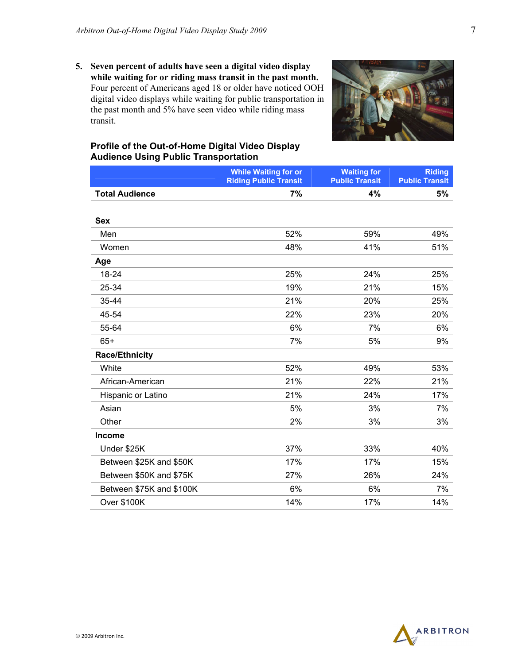**5. Seven percent of adults have seen a digital video display while waiting for or riding mass transit in the past month.** Four percent of Americans aged 18 or older have noticed OOH digital video displays while waiting for public transportation in the past month and 5% have seen video while riding mass transit.



#### **Profile of the Out-of-Home Digital Video Display Audience Using Public Transportation**

|                          | <b>While Waiting for or</b><br><b>Riding Public Transit</b> | <b>Waiting for</b><br><b>Public Transit</b> | <b>Riding</b><br><b>Public Transit</b> |
|--------------------------|-------------------------------------------------------------|---------------------------------------------|----------------------------------------|
| <b>Total Audience</b>    | 7%                                                          | 4%                                          | 5%                                     |
|                          |                                                             |                                             |                                        |
| <b>Sex</b>               |                                                             |                                             |                                        |
| Men                      | 52%                                                         | 59%                                         | 49%                                    |
| Women                    | 48%                                                         | 41%                                         | 51%                                    |
| Age                      |                                                             |                                             |                                        |
| 18-24                    | 25%                                                         | 24%                                         | 25%                                    |
| 25-34                    | 19%                                                         | 21%                                         | 15%                                    |
| 35-44                    | 21%                                                         | 20%                                         | 25%                                    |
| 45-54                    | 22%                                                         | 23%                                         | 20%                                    |
| 55-64                    | 6%                                                          | 7%                                          | 6%                                     |
| $65+$                    | 7%                                                          | 5%                                          | 9%                                     |
| <b>Race/Ethnicity</b>    |                                                             |                                             |                                        |
| White                    | 52%                                                         | 49%                                         | 53%                                    |
| African-American         | 21%                                                         | 22%                                         | 21%                                    |
| Hispanic or Latino       | 21%                                                         | 24%                                         | 17%                                    |
| Asian                    | 5%                                                          | 3%                                          | 7%                                     |
| Other                    | 2%                                                          | 3%                                          | 3%                                     |
| <b>Income</b>            |                                                             |                                             |                                        |
| Under \$25K              | 37%                                                         | 33%                                         | 40%                                    |
| Between \$25K and \$50K  | 17%                                                         | 17%                                         | 15%                                    |
| Between \$50K and \$75K  | 27%                                                         | 26%                                         | 24%                                    |
| Between \$75K and \$100K | 6%                                                          | 6%                                          | 7%                                     |
| <b>Over \$100K</b>       | 14%                                                         | 17%                                         | 14%                                    |

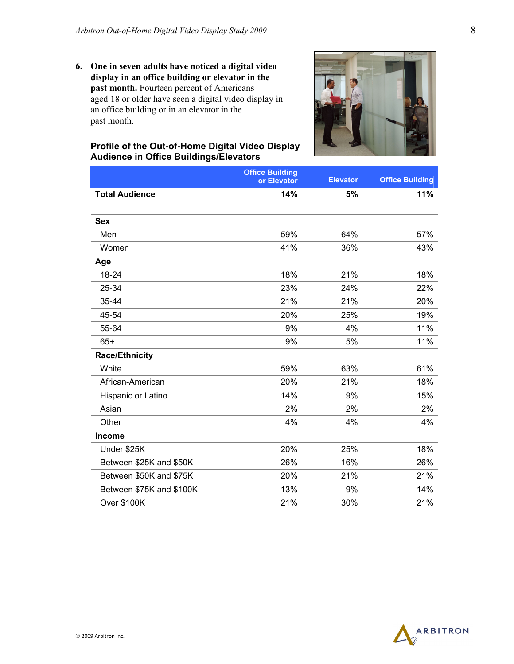**6. One in seven adults have noticed a digital video display in an office building or elevator in the**  past month. Fourteen percent of Americans aged 18 or older have seen a digital video display in an office building or in an elevator in the past month.



#### **Profile of the Out-of-Home Digital Video Display Audience in Office Buildings/Elevators**

|                          | <b>Office Building</b> |                 |                        |
|--------------------------|------------------------|-----------------|------------------------|
|                          | or Elevator            | <b>Elevator</b> | <b>Office Building</b> |
| <b>Total Audience</b>    | 14%                    | 5%              | 11%                    |
|                          |                        |                 |                        |
| <b>Sex</b>               |                        |                 |                        |
| Men                      | 59%                    | 64%             | 57%                    |
| Women                    | 41%                    | 36%             | 43%                    |
| Age                      |                        |                 |                        |
| 18-24                    | 18%                    | 21%             | 18%                    |
| 25-34                    | 23%                    | 24%             | 22%                    |
| 35-44                    | 21%                    | 21%             | 20%                    |
| 45-54                    | 20%                    | 25%             | 19%                    |
| 55-64                    | 9%                     | 4%              | 11%                    |
| $65+$                    | 9%                     | 5%              | 11%                    |
| <b>Race/Ethnicity</b>    |                        |                 |                        |
| White                    | 59%                    | 63%             | 61%                    |
| African-American         | 20%                    | 21%             | 18%                    |
| Hispanic or Latino       | 14%                    | 9%              | 15%                    |
| Asian                    | 2%                     | 2%              | 2%                     |
| Other                    | 4%                     | 4%              | 4%                     |
| <b>Income</b>            |                        |                 |                        |
| Under \$25K              | 20%                    | 25%             | 18%                    |
| Between \$25K and \$50K  | 26%                    | 16%             | 26%                    |
| Between \$50K and \$75K  | 20%                    | 21%             | 21%                    |
| Between \$75K and \$100K | 13%                    | 9%              | 14%                    |
| <b>Over \$100K</b>       | 21%                    | 30%             | 21%                    |

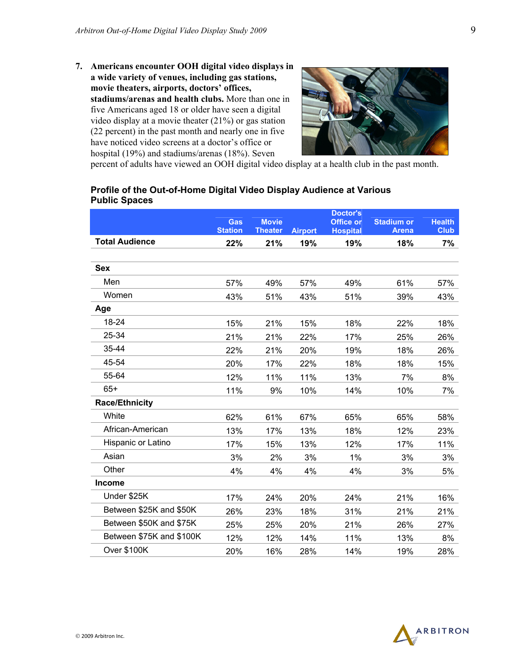**7. Americans encounter OOH digital video displays in a wide variety of venues, including gas stations, movie theaters, airports, doctors' offices, stadiums/arenas and health clubs.** More than one in five Americans aged 18 or older have seen a digital video display at a movie theater (21%) or gas station (22 percent) in the past month and nearly one in five have noticed video screens at a doctor's office or hospital (19%) and stadiums/arenas (18%). Seven



percent of adults have viewed an OOH digital video display at a health club in the past month.

#### **Profile of the Out-of-Home Digital Video Display Audience at Various Public Spaces**

|                          | Gas            | <b>Movie</b>   |                | <b>Doctor's</b><br>Office or | <b>Stadium or</b> | <b>Health</b> |
|--------------------------|----------------|----------------|----------------|------------------------------|-------------------|---------------|
|                          | <b>Station</b> | <b>Theater</b> | <b>Airport</b> | <b>Hospital</b>              | <b>Arena</b>      | <b>Club</b>   |
| <b>Total Audience</b>    | 22%            | 21%            | 19%            | 19%                          | 18%               | 7%            |
|                          |                |                |                |                              |                   |               |
| <b>Sex</b>               |                |                |                |                              |                   |               |
| Men                      | 57%            | 49%            | 57%            | 49%                          | 61%               | 57%           |
| Women                    | 43%            | 51%            | 43%            | 51%                          | 39%               | 43%           |
| Age                      |                |                |                |                              |                   |               |
| 18-24                    | 15%            | 21%            | 15%            | 18%                          | 22%               | 18%           |
| 25-34                    | 21%            | 21%            | 22%            | 17%                          | 25%               | 26%           |
| 35-44                    | 22%            | 21%            | 20%            | 19%                          | 18%               | 26%           |
| 45-54                    | 20%            | 17%            | 22%            | 18%                          | 18%               | 15%           |
| 55-64                    | 12%            | 11%            | 11%            | 13%                          | 7%                | 8%            |
| $65+$                    | 11%            | 9%             | 10%            | 14%                          | 10%               | 7%            |
| <b>Race/Ethnicity</b>    |                |                |                |                              |                   |               |
| White                    | 62%            | 61%            | 67%            | 65%                          | 65%               | 58%           |
| African-American         | 13%            | 17%            | 13%            | 18%                          | 12%               | 23%           |
| Hispanic or Latino       | 17%            | 15%            | 13%            | 12%                          | 17%               | 11%           |
| Asian                    | 3%             | 2%             | 3%             | 1%                           | 3%                | 3%            |
| Other                    | 4%             | 4%             | 4%             | 4%                           | 3%                | 5%            |
| <b>Income</b>            |                |                |                |                              |                   |               |
| Under \$25K              | 17%            | 24%            | 20%            | 24%                          | 21%               | 16%           |
| Between \$25K and \$50K  | 26%            | 23%            | 18%            | 31%                          | 21%               | 21%           |
| Between \$50K and \$75K  | 25%            | 25%            | 20%            | 21%                          | 26%               | 27%           |
| Between \$75K and \$100K | 12%            | 12%            | 14%            | 11%                          | 13%               | 8%            |
| Over \$100K              | 20%            | 16%            | 28%            | 14%                          | 19%               | 28%           |

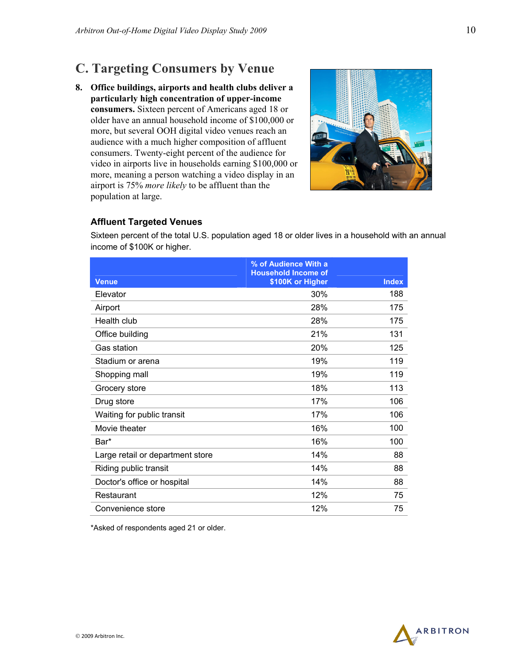## **C. Targeting Consumers by Venue**

**8. Office buildings, airports and health clubs deliver a particularly high concentration of upper-income consumers.** Sixteen percent of Americans aged 18 or older have an annual household income of \$100,000 or more, but several OOH digital video venues reach an audience with a much higher composition of affluent consumers. Twenty-eight percent of the audience for video in airports live in households earning \$100,000 or more, meaning a person watching a video display in an airport is 75% *more likely* to be affluent than the population at large.



#### **Affluent Targeted Venues**

Sixteen percent of the total U.S. population aged 18 or older lives in a household with an annual income of \$100K or higher.

|                                  | % of Audience With a<br><b>Household Income of</b> |              |
|----------------------------------|----------------------------------------------------|--------------|
| <b>Venue</b>                     | \$100K or Higher                                   | <b>Index</b> |
| Elevator                         | 30%                                                | 188          |
| Airport                          | 28%                                                | 175          |
| Health club                      | 28%                                                | 175          |
| Office building                  | 21%                                                | 131          |
| <b>Gas station</b>               | 20%                                                | 125          |
| Stadium or arena                 | 19%                                                | 119          |
| Shopping mall                    | 19%                                                | 119          |
| Grocery store                    | 18%                                                | 113          |
| Drug store                       | 17%                                                | 106          |
| Waiting for public transit       | 17%                                                | 106          |
| Movie theater                    | 16%                                                | 100          |
| Bar*                             | 16%                                                | 100          |
| Large retail or department store | 14%                                                | 88           |
| Riding public transit            | 14%                                                | 88           |
| Doctor's office or hospital      | 14%                                                | 88           |
| Restaurant                       | 12%                                                | 75           |
| Convenience store                | 12%                                                | 75           |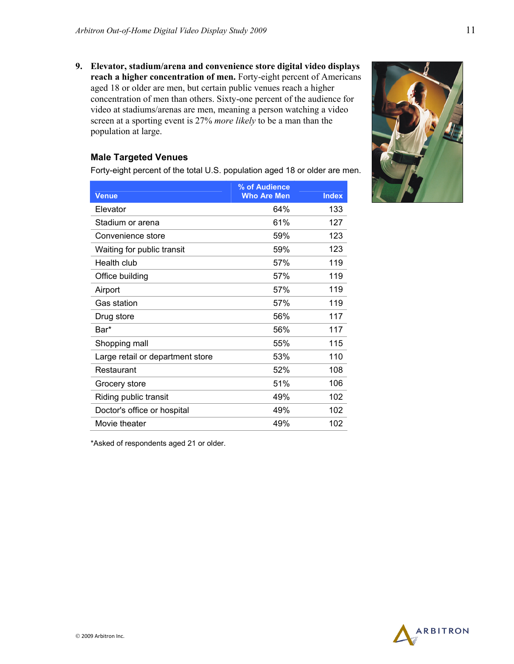**9. Elevator, stadium/arena and convenience store digital video displays reach a higher concentration of men.** Forty-eight percent of Americans aged 18 or older are men, but certain public venues reach a higher concentration of men than others. Sixty-one percent of the audience for video at stadiums/arenas are men, meaning a person watching a video screen at a sporting event is 27% *more likely* to be a man than the population at large.

#### **Male Targeted Venues**

Forty-eight percent of the total U.S. population aged 18 or older are men.

| <b>Venue</b>                     | % of Audience<br><b>Who Are Men</b> | <b>Index</b> |
|----------------------------------|-------------------------------------|--------------|
| Elevator                         | 64%                                 | 133          |
| Stadium or arena                 | 61%                                 | 127          |
| Convenience store                | 59%                                 | 123          |
| Waiting for public transit       | 59%                                 | 123          |
| Health club                      | 57%                                 | 119          |
| Office building                  | 57%                                 | 119          |
| Airport                          | 57%                                 | 119          |
| Gas station                      | 57%                                 | 119          |
| Drug store                       | 56%                                 | 117          |
| Bar*                             | 56%                                 | 117          |
| Shopping mall                    | 55%                                 | 115          |
| Large retail or department store | 53%                                 | 110          |
| Restaurant                       | 52%                                 | 108          |
| Grocery store                    | 51%                                 | 106          |
| Riding public transit            | 49%                                 | 102          |
| Doctor's office or hospital      | 49%                                 | 102          |
| Movie theater                    | 49%                                 | 102          |



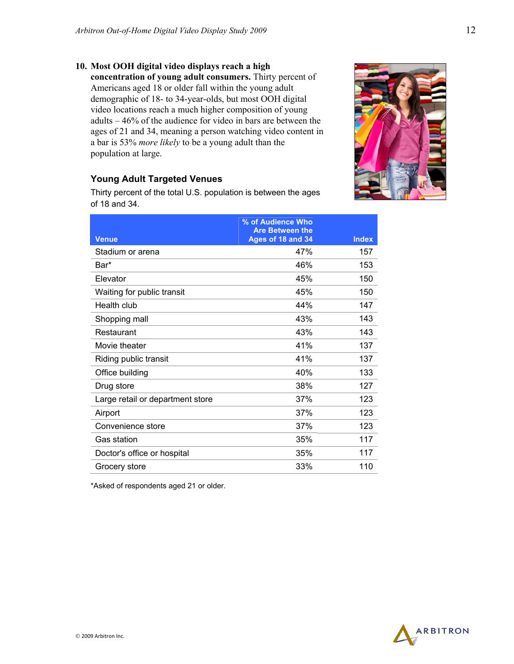**10. Most OOH digital video displays reach a high concentration of young adult consumers.** Thirty percent of Americans aged 18 or older fall within the young adult demographic of 18- to 34-year-olds, but most OOH digital video locations reach a much higher composition of young adults – 46% of the audience for video in bars are between the ages of 21 and 34, meaning a person watching video content in a bar is 53% *more likely* to be a young adult than the population at large.

#### **Young Adult Targeted Venues**

Thirty percent of the total U.S. population is between the ages of 18 and 34.

|                                  | % of Audience Who<br><b>Are Between the</b> |              |
|----------------------------------|---------------------------------------------|--------------|
| <b>Venue</b>                     | Ages of 18 and 34                           | <b>Index</b> |
| Stadium or arena                 | 47%                                         | 157          |
| Bar*                             | 46%                                         | 153          |
| Elevator                         | 45%                                         | 150          |
| Waiting for public transit       | 45%                                         | 150          |
| Health club                      | 44%                                         | 147          |
| Shopping mall                    | 43%                                         | 143          |
| Restaurant                       | 43%                                         | 143          |
| Movie theater                    | 41%                                         | 137          |
| Riding public transit            | 41%                                         | 137          |
| Office building                  | 40%                                         | 133          |
| Drug store                       | 38%                                         | 127          |
| Large retail or department store | 37%                                         | 123          |
| Airport                          | 37%                                         | 123          |
| Convenience store                | 37%                                         | 123          |
| Gas station                      | 35%                                         | 117          |
| Doctor's office or hospital      | 35%                                         | 117          |
| Grocery store                    | 33%                                         | 110          |



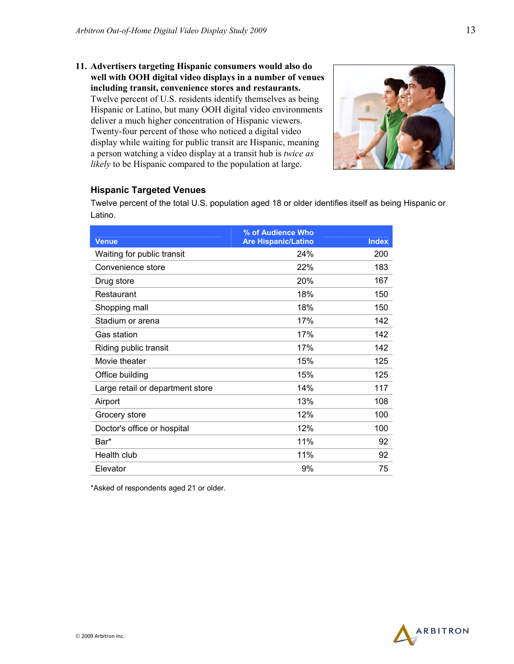**11. Advertisers targeting Hispanic consumers would also do well with OOH digital video displays in a number of venues including transit, convenience stores and restaurants.** Twelve percent of U.S. residents identify themselves as being Hispanic or Latino, but many OOH digital video environments deliver a much higher concentration of Hispanic viewers. Twenty-four percent of those who noticed a digital video display while waiting for public transit are Hispanic, meaning a person watching a video display at a transit hub is *twice as likely* to be Hispanic compared to the population at large.



#### **Hispanic Targeted Venues**

Twelve percent of the total U.S. population aged 18 or older identifies itself as being Hispanic or Latino.

|                                  | % of Audience Who          |              |
|----------------------------------|----------------------------|--------------|
| <b>Venue</b>                     | <b>Are Hispanic/Latino</b> | <b>Index</b> |
| Waiting for public transit       | 24%                        | 200          |
| Convenience store                | 22%                        | 183          |
| Drug store                       | 20%                        | 167          |
| Restaurant                       | 18%                        | 150          |
| Shopping mall                    | 18%                        | 150          |
| Stadium or arena                 | 17%                        | 142          |
| Gas station                      | 17%                        | 142          |
| Riding public transit            | 17%                        | 142          |
| Movie theater                    | 15%                        | 125          |
| Office building                  | 15%                        | 125          |
| Large retail or department store | 14%                        | 117          |
| Airport                          | 13%                        | 108          |
| Grocery store                    | 12%                        | 100          |
| Doctor's office or hospital      | 12%                        | 100          |
| Bar*                             | 11%                        | 92           |
| Health club                      | 11%                        | 92           |
| Elevator                         | 9%                         | 75           |



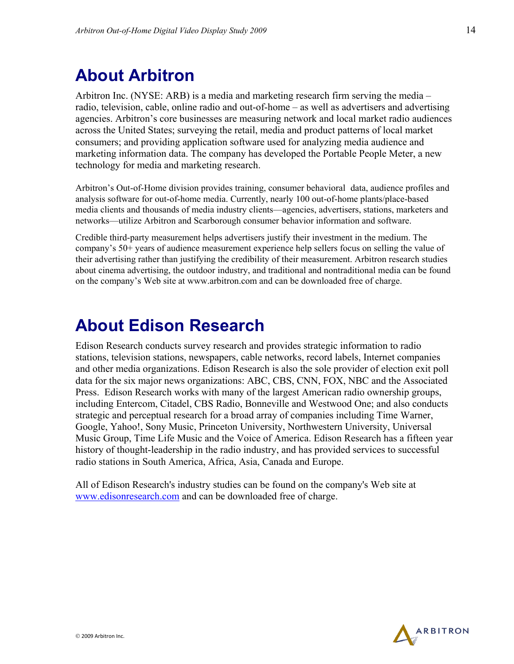## **About Arbitron**

Arbitron Inc. (NYSE: ARB) is a media and marketing research firm serving the media – radio, television, cable, online radio and out-of-home – as well as advertisers and advertising agencies. Arbitron's core businesses are measuring network and local market radio audiences across the United States; surveying the retail, media and product patterns of local market consumers; and providing application software used for analyzing media audience and marketing information data. The company has developed the Portable People Meter, a new technology for media and marketing research.

Arbitron's Out-of-Home division provides training, consumer behavioral data, audience profiles and analysis software for out-of-home media. Currently, nearly 100 out-of-home plants/place-based media clients and thousands of media industry clients—agencies, advertisers, stations, marketers and networks—utilize Arbitron and Scarborough consumer behavior information and software.

Credible third-party measurement helps advertisers justify their investment in the medium. The company's 50+ years of audience measurement experience help sellers focus on selling the value of their advertising rather than justifying the credibility of their measurement. Arbitron research studies about cinema advertising, the outdoor industry, and traditional and nontraditional media can be found on the company's Web site at www.arbitron.com and can be downloaded free of charge.

## **About Edison Research**

Edison Research conducts survey research and provides strategic information to radio stations, television stations, newspapers, cable networks, record labels, Internet companies and other media organizations. Edison Research is also the sole provider of election exit poll data for the six major news organizations: ABC, CBS, CNN, FOX, NBC and the Associated Press. Edison Research works with many of the largest American radio ownership groups, including Entercom, Citadel, CBS Radio, Bonneville and Westwood One; and also conducts strategic and perceptual research for a broad array of companies including Time Warner, Google, Yahoo!, Sony Music, Princeton University, Northwestern University, Universal Music Group, Time Life Music and the Voice of America. Edison Research has a fifteen year history of thought-leadership in the radio industry, and has provided services to successful radio stations in South America, Africa, Asia, Canada and Europe.

All of Edison Research's industry studies can be found on the company's Web site at www.edisonresearch.com and can be downloaded free of charge.